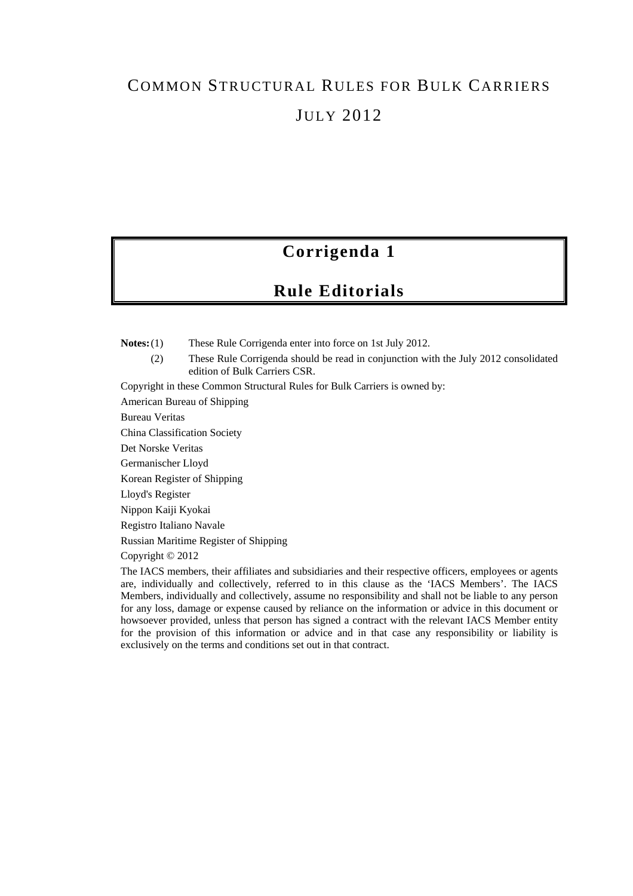# COMMON STRUCTURAL RULES FOR BULK CARRIERS JULY 2012

# **Corrigenda 1**

# **Rule Editorials**

**Notes:** (1) These Rule Corrigenda enter into force on 1st July 2012.

(2) These Rule Corrigenda should be read in conjunction with the July 2012 consolidated edition of Bulk Carriers CSR.

Copyright in these Common Structural Rules for Bulk Carriers is owned by:

American Bureau of Shipping

Bureau Veritas

China Classification Society

Det Norske Veritas

Germanischer Lloyd

Korean Register of Shipping

Lloyd's Register

Nippon Kaiji Kyokai

Registro Italiano Navale

Russian Maritime Register of Shipping

Copyright © 2012

The IACS members, their affiliates and subsidiaries and their respective officers, employees or agents are, individually and collectively, referred to in this clause as the 'IACS Members'. The IACS Members, individually and collectively, assume no responsibility and shall not be liable to any person for any loss, damage or expense caused by reliance on the information or advice in this document or howsoever provided, unless that person has signed a contract with the relevant IACS Member entity for the provision of this information or advice and in that case any responsibility or liability is exclusively on the terms and conditions set out in that contract.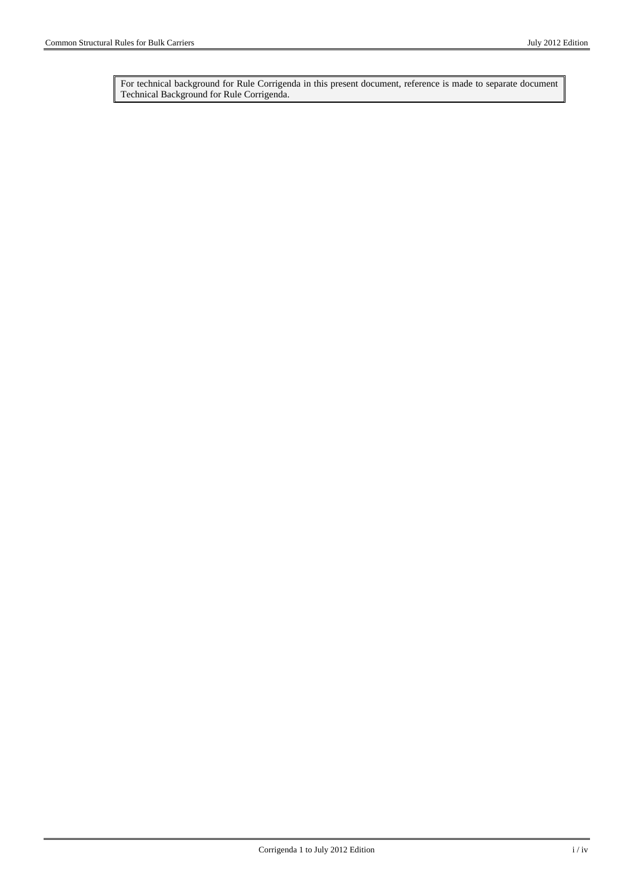For technical background for Rule Corrigenda in this present document, reference is made to separate document Technical Background for Rule Corrigenda.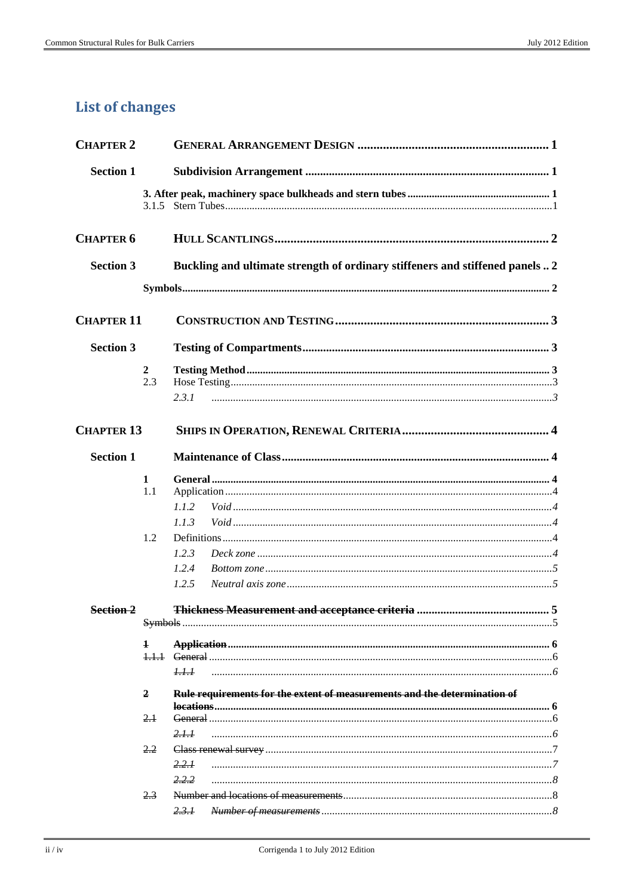# **List of changes**

| <b>CHAPTER 2</b>  |                       |                                                                               |
|-------------------|-----------------------|-------------------------------------------------------------------------------|
| <b>Section 1</b>  |                       |                                                                               |
|                   |                       |                                                                               |
| <b>CHAPTER 6</b>  |                       |                                                                               |
| <b>Section 3</b>  |                       | Buckling and ultimate strength of ordinary stiffeners and stiffened panels  2 |
|                   |                       |                                                                               |
| <b>CHAPTER 11</b> |                       |                                                                               |
| <b>Section 3</b>  |                       |                                                                               |
|                   | $\overline{2}$<br>2.3 | 2.3.1                                                                         |
| <b>CHAPTER 13</b> |                       |                                                                               |
| <b>Section 1</b>  |                       |                                                                               |
|                   | 1<br>1.1<br>1.2       | 1.1.2<br>1.1.3<br>1.2.3<br>1.2.4<br>1.2.5                                     |
| Section 2         |                       | <b>Thickness Measurement and acceptance criteria</b><br>5.                    |
|                   | $\mathbf{1}$          | 1.1.1                                                                         |
|                   | $\overline{2}$        | Rule requirements for the extent of measurements and the determination of     |
|                   | $2+$                  | 2.1.1                                                                         |
|                   | 2.2                   | 2.2.1<br>2.2.2                                                                |
|                   | 2.3                   | 2.3.1                                                                         |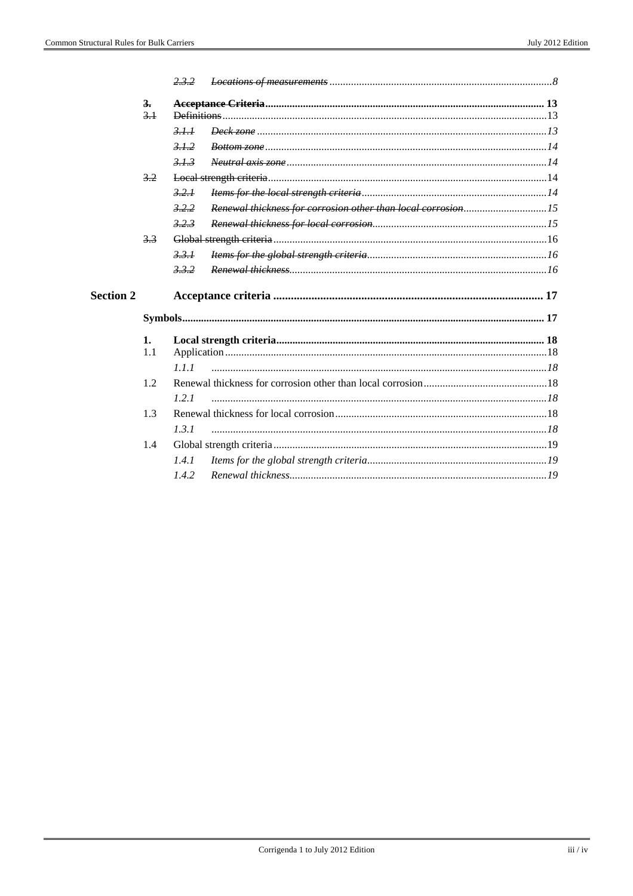|                  |     | 23.2         |  |
|------------------|-----|--------------|--|
|                  | 3.  |              |  |
|                  | 3.1 | Definitions. |  |
|                  |     | 3.1.1        |  |
|                  |     | 312          |  |
|                  |     | 313          |  |
|                  | 3.2 |              |  |
|                  |     | 3,21         |  |
|                  |     | 3,2,2        |  |
|                  |     | 3,2,3        |  |
|                  | 3.3 |              |  |
|                  |     | 3.3.1        |  |
|                  |     | 3.3.2        |  |
|                  |     |              |  |
| <b>Section 2</b> |     |              |  |
|                  |     |              |  |
|                  | 1.  |              |  |
|                  | 1.1 |              |  |
|                  |     | 1.1.1        |  |
|                  | 1.2 |              |  |
|                  |     | 1.2.1        |  |
|                  | 1.3 |              |  |
|                  |     | 1.3.1        |  |
|                  | 1.4 |              |  |
|                  |     | 1.4.1        |  |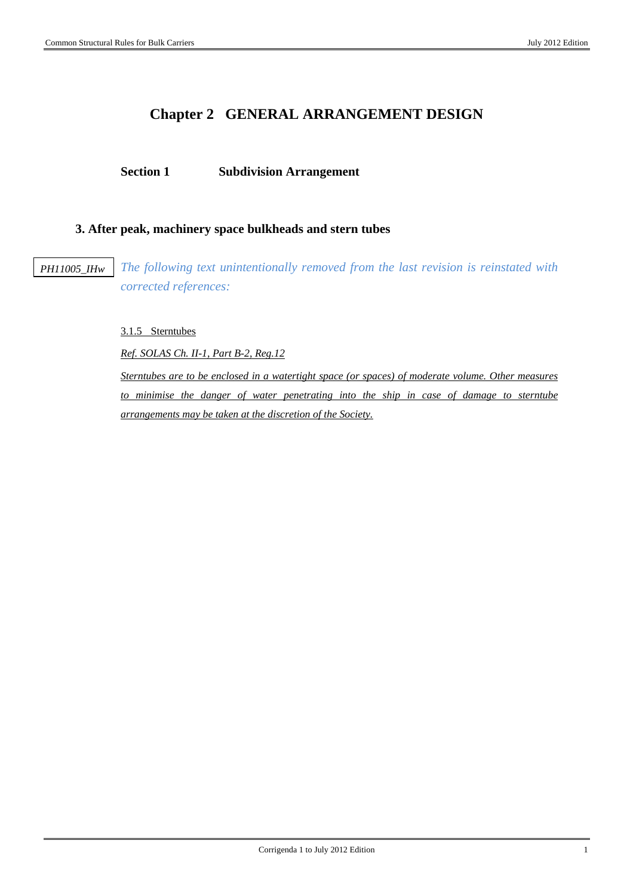# **Chapter 2 GENERAL ARRANGEMENT DESIGN**

## **Section 1 Subdivision Arrangement**

## **3. After peak, machinery space bulkheads and stern tubes**

*PH11005\_IHw*

*The following text unintentionally removed from the last revision is reinstated with corrected references:* 

3.1.5 Sterntubes

*Ref. SOLAS Ch. II-1, Part B-2, Reg.12*

*Sterntubes are to be enclosed in a watertight space (or spaces) of moderate volume. Other measures to minimise the danger of water penetrating into the ship in case of damage to sterntube arrangements may be taken at the discretion of the Society.*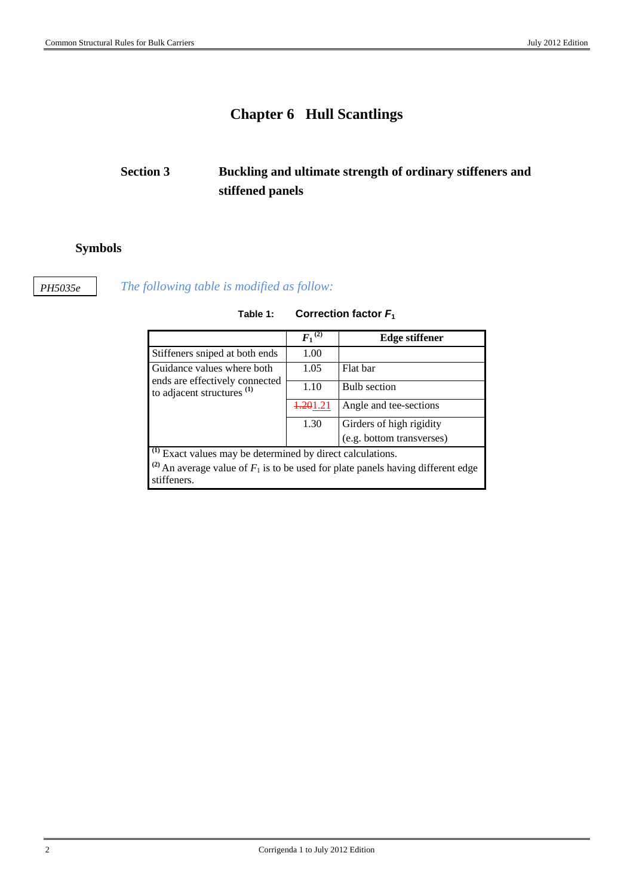# **Chapter 6 Hull Scantlings**

# **Section 3 Buckling and ultimate strength of ordinary stiffeners and stiffened panels**

## **Symbols**

*PH5035e*

## *The following table is modified as follow:*

|                                                                       | $F_1{}^{(2)}$ | <b>Edge stiffener</b>                                                                         |
|-----------------------------------------------------------------------|---------------|-----------------------------------------------------------------------------------------------|
| Stiffeners sniped at both ends                                        | 1.00          |                                                                                               |
| Guidance values where both                                            | 1.05          | Flat bar                                                                                      |
| ends are effectively connected<br>to adjacent structures $(1)$        | 1.10          | <b>Bulb</b> section                                                                           |
|                                                                       | 4.201.21      | Angle and tee-sections                                                                        |
|                                                                       | 1.30          | Girders of high rigidity                                                                      |
|                                                                       |               | (e.g. bottom transverses)                                                                     |
| <sup>(1)</sup> Exact values may be determined by direct calculations. |               |                                                                                               |
| stiffeners.                                                           |               | <sup>(2)</sup> An average value of $F_1$ is to be used for plate panels having different edge |

## **Table 1: Correction factor** *F***<sup>1</sup>**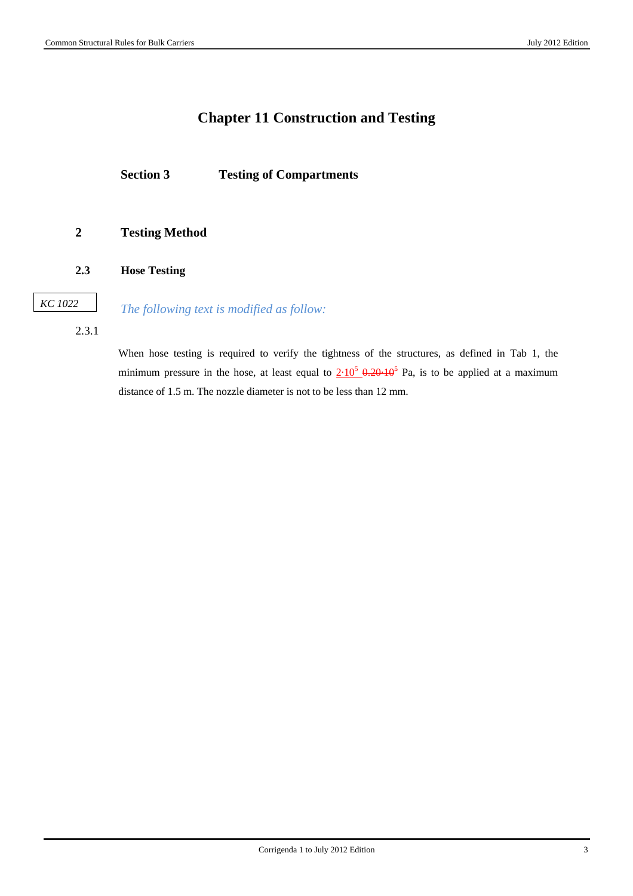## **Chapter 11 Construction and Testing**

**Section 3 Testing of Compartments** 

## **2 Testing Method**

**2.3 Hose Testing** 

*KC 1022*

*The following text is modified as follow:* 

2.3.1

When hose testing is required to verify the tightness of the structures, as defined in Tab 1, the minimum pressure in the hose, at least equal to  $2.10^5$   $\theta$ ,  $20.10^5$  Pa, is to be applied at a maximum distance of 1.5 m. The nozzle diameter is not to be less than 12 mm.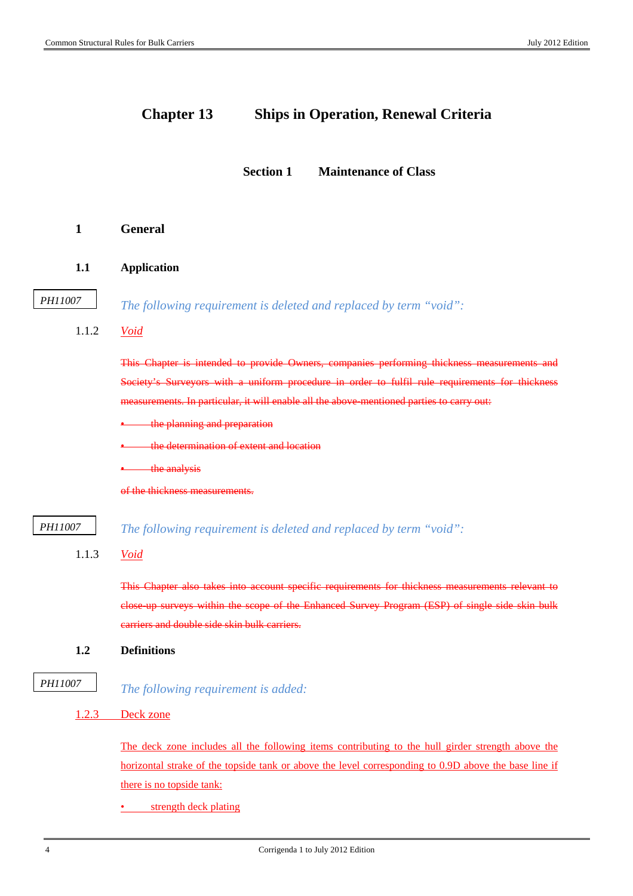## **Chapter 13 Ships in Operation, Renewal Criteria**

**Section 1 Maintenance of Class** 

- **1 General**
- **1.1 Application**

```
PH11007
```
*The following requirement is deleted and replaced by term "void":* 

1.1.2 *Void*

This Chapter is intended to provide Owners, companies performing thickness measurements and Society's Surveyors with a uniform procedure in order to fulfil rule requirements for thickness measurements. In particular, it will enable all the above-mentioned parties to carry out:

- **the planning and preparation**
- the determination of extent and location
- the analysis

of the thickness measurements.

*The following requirement is deleted and replaced by term "void": PH11007*

1.1.3 *Void*

This Chapter also takes into account specific requirements for thickness measurements relevant to close-up surveys within the scope of the Enhanced Survey Program (ESP) of single side skin bulk carriers and double side skin bulk carriers.

- **1.2 Definitions**
- *The following requirement is added: PH11007*
	- 1.2.3 Deck zone

The deck zone includes all the following items contributing to the hull girder strength above the horizontal strake of the topside tank or above the level corresponding to 0.9D above the base line if there is no topside tank:

strength deck plating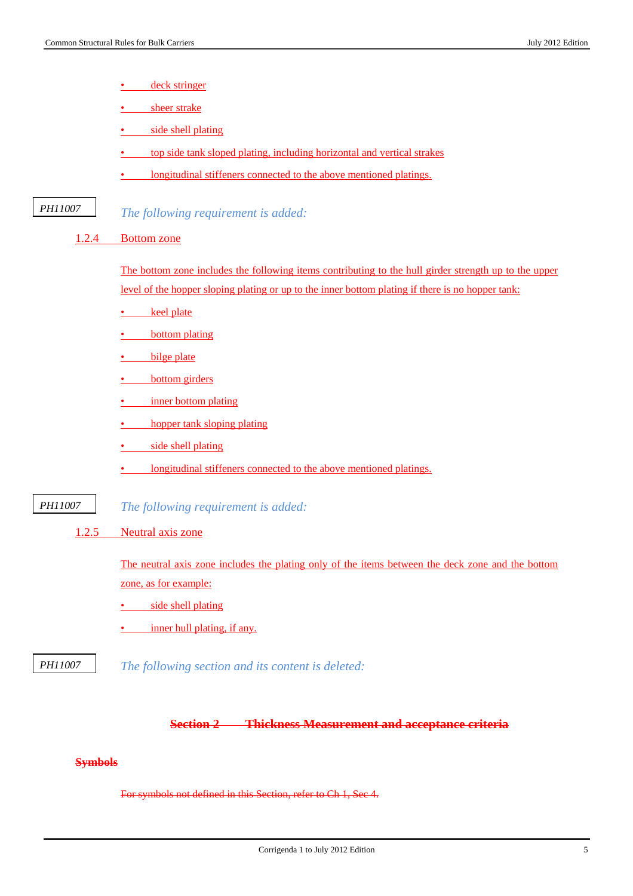- deck stringer
- sheer strake
- side shell plating
- top side tank sloped plating, including horizontal and vertical strakes
- longitudinal stiffeners connected to the above mentioned platings.

*The following requirement is added: PH11007*

#### 1.2.4 Bottom zone

The bottom zone includes the following items contributing to the hull girder strength up to the upper level of the hopper sloping plating or up to the inner bottom plating if there is no hopper tank:

- keel plate
- bottom plating
- bilge plate
- **bottom** girders
- inner bottom plating
- **hopper tank sloping plating**
- side shell plating
- longitudinal stiffeners connected to the above mentioned platings.
- *The following requirement is added: PH11007*
	- 1.2.5 Neutral axis zone

The neutral axis zone includes the plating only of the items between the deck zone and the bottom zone, as for example:

- side shell plating
- inner hull plating, if any.
- *The following section and its content is deleted: PH11007*

### **Section 2 Thickness Measurement and acceptance criteria**

## **Symbols**

For symbols not defined in this Section, refer to Ch 1, Sec 4.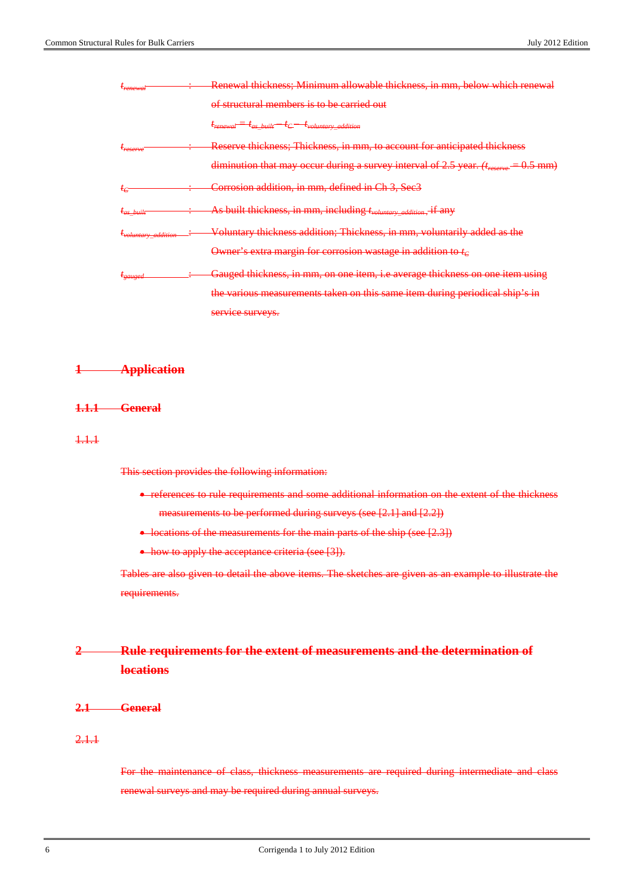| <del>r<sub>renewal</sub></del>        | <del>Renewal thickness; Minimum allowable thickness, in mm, below which renewal</del>           |
|---------------------------------------|-------------------------------------------------------------------------------------------------|
|                                       | of structural members is to be carried out                                                      |
|                                       | $=t_{as-built}-t_C-t_{volumtary-addition}$                                                      |
| $t_{reserve}$                         | Reserve thickness; Thickness, in mm, to account for anticipated thickness                       |
|                                       | diminution that may occur during a survey interval of 2.5 year. (treserve<br><del>0.5 mm)</del> |
| $t_{\mathcal{C}}$                     | Corrosion addition, in mm, defined in Ch 3, Sec3                                                |
| $t_{as-buill}$                        | As built thickness, in mm, including t <sub>voluntary_addition</sub><br>if any                  |
| <i>t<sub>voluntary addition</sub></i> | Voluntary thickness addition; Thickness, in mm, voluntarily added as the                        |
|                                       | Owner's extra margin for corrosion wastage in addition to $t_c$                                 |
| $t_{gauge}$                           | Gauged thickness, in mm, on one item, i.e average thickness on one item using                   |
|                                       | the various measurements taken on this same item during periodical ship's in                    |
|                                       | service surveys.                                                                                |

#### **1 Application**

#### **1.1.1 General**

1.1.1

This section provides the following information:

• references to rule requirements and some additional information on the extent of the thickness measurements to be performed during surveys (see [2.1] and [2.2])

• locations of the measurements for the main parts of the ship (see [2.3])

• how to apply the acceptance criteria (see [3]).

Tables are also given to detail the above items. The sketches are given as an example to illustrate the requirements.

## **2 Rule requirements for the extent of measurements and the determination of locations**

**2.1 General**

## 2.1.1

For the maintenance of class, thickness measurements are required during intermediate and class renewal surveys and may be required during annual surveys.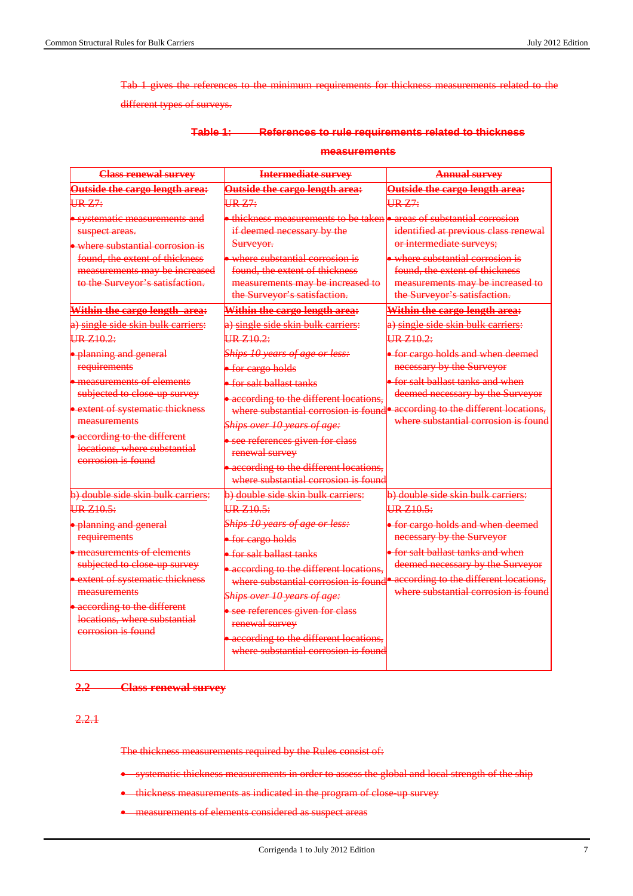Tab 1 gives the references to the minimum requirements for thickness measurements related to the

different types of surveys.

#### **Table 1: References to rule requirements related to thickness**

#### **measurements**

| <b>Class renewal survey</b>                                                                                                                                                                                                                                    | <b>Intermediate survey</b>                                                                                                                                                                                                                                                                                                                                | <b>Annual survey</b>                                                                                                                                                                                                                    |
|----------------------------------------------------------------------------------------------------------------------------------------------------------------------------------------------------------------------------------------------------------------|-----------------------------------------------------------------------------------------------------------------------------------------------------------------------------------------------------------------------------------------------------------------------------------------------------------------------------------------------------------|-----------------------------------------------------------------------------------------------------------------------------------------------------------------------------------------------------------------------------------------|
| Outside the cargo length area:                                                                                                                                                                                                                                 | Outside the cargo length area:                                                                                                                                                                                                                                                                                                                            | Outside the cargo length area:                                                                                                                                                                                                          |
| <b>UR Z7:</b>                                                                                                                                                                                                                                                  | URZ7:                                                                                                                                                                                                                                                                                                                                                     | URZ7:                                                                                                                                                                                                                                   |
| · systematic measurements and<br>suspect areas.<br>where substantial corrosion is<br>found, the extent of thickness<br>measurements may be increased<br>to the Surveyor's satisfaction.                                                                        | • thickness measurements to be taken • areas of substantial corrosion<br>if deemed necessary by the<br>Surveyor.<br>$\bullet$ where substantial corrosion is<br>found, the extent of thickness<br>measurements may be increased to<br>the Surveyor's satisfaction.                                                                                        | identified at previous class renewal<br>or intermediate surveys;<br>• where substantial corrosion is<br>found, the extent of thickness<br>measurements may be increased to<br>the Surveyor's satisfaction.                              |
| Within the cargo length area:                                                                                                                                                                                                                                  | Within the cargo length area:                                                                                                                                                                                                                                                                                                                             | Within the cargo length area:                                                                                                                                                                                                           |
| a) single side skin bulk carriers:<br>IRZ10.2                                                                                                                                                                                                                  | a) single side skin bulk carriers:<br>HR 710.2:                                                                                                                                                                                                                                                                                                           | a) single side skin bulk carriers:<br>HR 710.2                                                                                                                                                                                          |
| • planning and general<br>requirements                                                                                                                                                                                                                         | Ships 10 years of age or less:<br>• for cargo holds                                                                                                                                                                                                                                                                                                       | • for cargo holds and when deemed<br>necessary by the Surveyor                                                                                                                                                                          |
| $\bullet$ measurements of elements<br>subjected to close up survey<br><b>•</b> extent of systematic thickness<br>measurements<br><b>•</b> according to the different<br>locations, where substantial                                                           | $\bullet$ for salt ballast tanks<br>• according to the different locations,<br>Ships over 10 years of age:<br>· see references given for class<br>renewal survey                                                                                                                                                                                          | • for salt ballast tanks and when<br>deemed necessary by the Surveyor<br>where substantial corrosion is found <sup>o according</sup> to the different locations,<br>where substantial corrosion is found                                |
| corrosion is found                                                                                                                                                                                                                                             | • according to the different locations,<br>where substantial corrosion is found                                                                                                                                                                                                                                                                           |                                                                                                                                                                                                                                         |
| b) double side skin bulk carriers:                                                                                                                                                                                                                             | b) double side skin bulk carriers:                                                                                                                                                                                                                                                                                                                        | b) double side skin bulk carriers:                                                                                                                                                                                                      |
| $HR$ 7.10.5:<br>· planning and general<br>requirements<br>• measurements of elements<br>subjected to close up survey<br>• extent of systematic thickness<br>measurements<br>• according to the different<br>locations, where substantial<br>corrosion is found | $HR$ 710.5:<br>Ships 10 years of age or less:<br>• for cargo holds<br>• for salt ballast tanks<br>• according to the different locations,<br>where substantial corrosion is found<br>Ships over 10 years of age:<br>• see references given for class<br>renewal survey<br>• according to the different locations,<br>where substantial corrosion is found | $IRZ10-5$<br>• for cargo holds and when deemed<br>necessary by the Surveyor<br>• for salt ballast tanks and when<br>deemed necessary by the Surveyor<br>• according to the different locations,<br>where substantial corrosion is found |

## **2.2 Class renewal survey**

## 2.2.1

The thickness measurements required by the Rules consist of:

- systematic thickness measurements in order to assess the global and local strength of the ship
- thickness measurements as indicated in the program of close up survey
- measurements of elements considered as suspect areas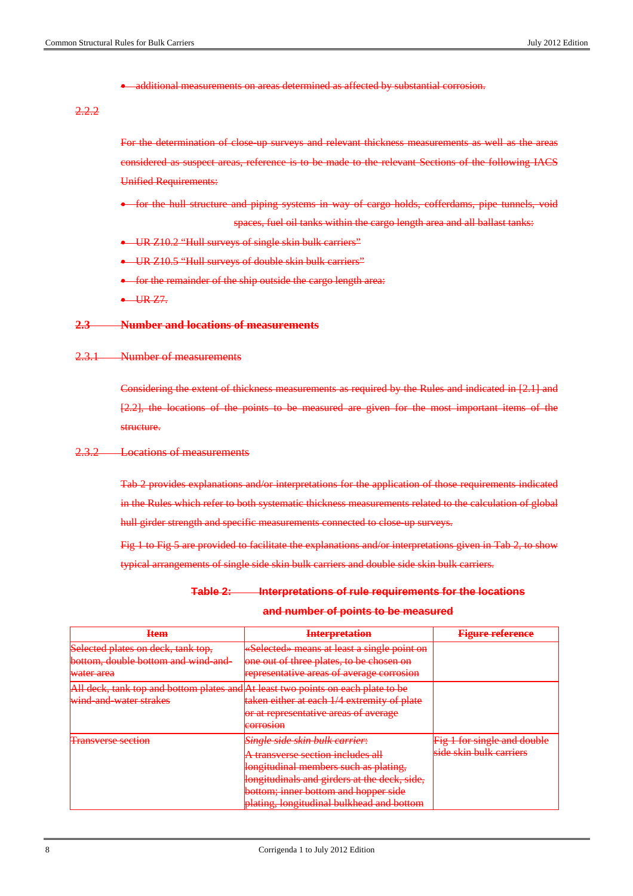• additional measurements on areas determined as affected by substantial corrosion.

2.2.2

For the determination of close up surveys and relevant thickness measurements as well as the areas considered as suspect areas, reference is to be made to the relevant Sections of the following IACS Unified Requirements:

- for the hull structure and piping systems in way of cargo holds, cofferdams, pipe tunnels, void spaces, fuel oil tanks within the cargo length area and all ballast tanks:
- UR Z10.2 "Hull surveys of single skin bulk carriers"
- UR Z10.5 "Hull surveys of double skin bulk carriers"
- for the remainder of the ship outside the cargo length area:

 $-$  UR  $77$ .

#### **2.3 Number and locations of measurements**

2.3.1 Number of measurements

Considering the extent of thickness measurements as required by the Rules and indicated in [2.1] and [2.2], the locations of the points to be measured are given for the most important items of the structure.

#### 2.3.2 Locations of measurements

Tab 2 provides explanations and/or interpretations for the application of those requirements indicated in the Rules which refer to both systematic thickness measurements related to the calculation of global hull girder strength and specific measurements connected to close up surveys.

Fig 1 to Fig 5 are provided to facilitate the explanations and/or interpretations given in Tab 2, to show typical arrangements of single side skin bulk carriers and double side skin bulk carriers.

# **Table 2: Interpretations of rule requirements for the locations**

| Ttam<br>राजीति                                                                                                        | Internretation<br><del>mici pretativn</del>                                                                                                                                                                                                                                                                                                                                                                                                                                                                                                 | Figura rafaranca<br><del>rigure reierence</del>                                                                                               |
|-----------------------------------------------------------------------------------------------------------------------|---------------------------------------------------------------------------------------------------------------------------------------------------------------------------------------------------------------------------------------------------------------------------------------------------------------------------------------------------------------------------------------------------------------------------------------------------------------------------------------------------------------------------------------------|-----------------------------------------------------------------------------------------------------------------------------------------------|
| Selected plates on deck, tank top,<br><del>bottom, double bottom and wind and-</del><br><del>water area</del>         | «Selected» means at least a single point on<br>one out of three plates, to be chosen on<br><del>one out or times plates, to be chosen on</del><br><u>representative gregs of gyergre-corrosion</u><br><del>гергезенкан үе агеаз от атегаде сонтозгон</del>                                                                                                                                                                                                                                                                                  |                                                                                                                                               |
| All deck, tank top and bottom plates and At least two points on each plate to be<br><del>wind and water strakes</del> | taken either at each 1/4 extremity of plate<br>taken elaler al eden in extrematy or plate<br>or at raprocontative gross of sygrams<br><del>or at representative areas or average</del><br>$c$ $\alpha$ rr $\alpha$ ssan<br><b>LABURE AND LODGE</b>                                                                                                                                                                                                                                                                                          |                                                                                                                                               |
| Transverse section<br><b>THE RESERVATION CONTINUES.</b>                                                               | Single side skin hulk carrier<br><del>pingte stue skill butk cufflef.</del><br><u>A transvarsa saction includas all</u><br><b>TO WAS ARRESTED A 40 YO FOR THE CARD AND A STATE OF A STATE OF A STATE OF A STATE OF A STATE OF A STATE OF A ST</b><br><u>longitudinal mambare euch ac plating </u><br>нопениании июнность васи ав рианце,<br><b>Hongitudinals and girders at the deck, side,</b><br><u>hottom: inner hottom and honner side</u><br><del>ponom, mner bouom and nopper side</del><br>plating, longitudinal bulkhead and bottom | <u>Eig 1 for eingle and double</u><br>$\frac{1}{2}$ i for single and double<br>eida ekin bulk carriare<br><b>DIVISION IN BELIEVE SHIPPING</b> |

#### **and number of points to be measured**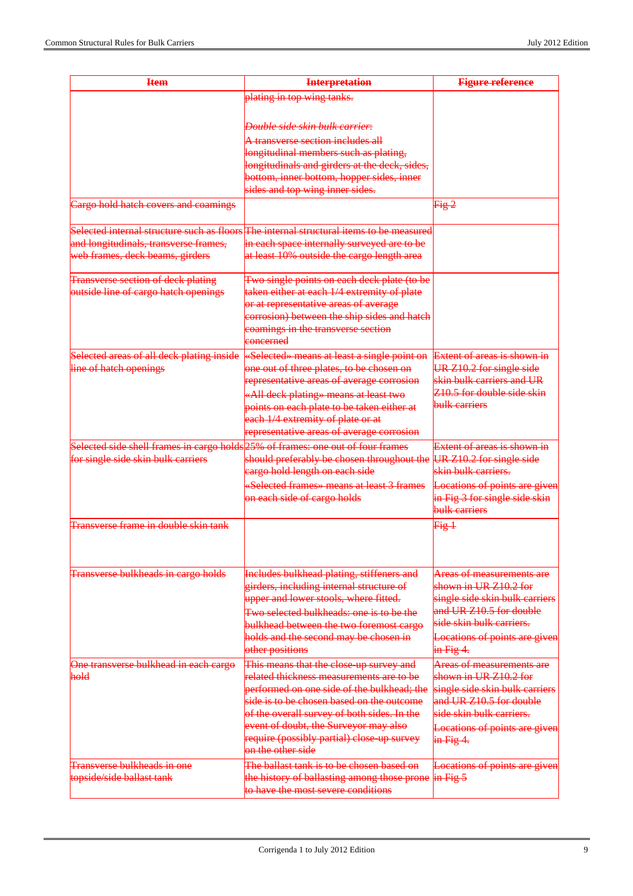| <b>Item</b>                                                                     | <b>Interpretation</b>                                                                   | <b>Figure reference</b>                                   |
|---------------------------------------------------------------------------------|-----------------------------------------------------------------------------------------|-----------------------------------------------------------|
|                                                                                 | plating in top wing tanks.                                                              |                                                           |
|                                                                                 |                                                                                         |                                                           |
|                                                                                 | Double side skin bulk carrier:                                                          |                                                           |
|                                                                                 | A transverse section includes all                                                       |                                                           |
|                                                                                 | longitudinal members such as plating,                                                   |                                                           |
|                                                                                 | longitudinals and girders at the deck, sides,                                           |                                                           |
|                                                                                 | bottom, inner bottom, hopper sides, inner                                               |                                                           |
|                                                                                 | sides and top wing inner sides.                                                         |                                                           |
| Cargo hold hatch covers and coamings                                            |                                                                                         | Fig. 2                                                    |
|                                                                                 | Selected internal structure such as floors The internal structural items to be measured |                                                           |
| and longitudinals, transverse frames,                                           | in each space internally surveyed are to be                                             |                                                           |
| web frames, deck beams, girders                                                 | at least 10% outside the cargo length area                                              |                                                           |
| <b>Transverse section of deck plating</b>                                       | Two single points on each deck plate (to be                                             |                                                           |
| outside line of cargo hatch openings                                            | taken either at each 1/4 extremity of plate                                             |                                                           |
|                                                                                 | or at representative areas of average                                                   |                                                           |
|                                                                                 | corrosion) between the ship sides and hatch                                             |                                                           |
|                                                                                 | coamings in the transverse section<br>eoncerned                                         |                                                           |
| Selected areas of all deck plating inside                                       |                                                                                         | Extent of areas is shown in                               |
| line of hatch openings                                                          | «Selected» means at least a single point on<br>one out of three plates, to be chosen on | UR Z10.2 for single side                                  |
|                                                                                 | representative areas of average corrosion                                               | skin bulk carriers and UR                                 |
|                                                                                 | «All deck plating» means at least two                                                   | Z10.5 for double side skin                                |
|                                                                                 | points on each plate to be taken either at                                              | bulk carriers                                             |
|                                                                                 | each 1/4 extremity of plate or at                                                       |                                                           |
|                                                                                 | representative areas of average corrosion                                               |                                                           |
| Selected side shell frames in cargo holds 25% of frames: one out of four frames |                                                                                         | <b>Extent of areas is shown in</b>                        |
| for single side skin bulk carriers                                              | should preferably be chosen throughout the                                              | UR Z10.2 for single side                                  |
|                                                                                 | eargo hold length on each side                                                          | skin bulk carriers.                                       |
|                                                                                 | «Selected frames» means at least 3 frames                                               | Locations of points are given                             |
|                                                                                 | on each side of cargo holds                                                             | in Fig 3 for single side skin                             |
|                                                                                 |                                                                                         | bulk carriers                                             |
| Transverse frame in double skin tank                                            |                                                                                         | Fig. 1                                                    |
|                                                                                 |                                                                                         |                                                           |
| Transverse bulkheads in cargo holds                                             | Includes bulkhead plating, stiffeners and                                               | <b>Areas of measurements are</b>                          |
|                                                                                 | girders, including internal structure of                                                | shown in UR Z10.2 for                                     |
|                                                                                 | upper and lower stools, where fitted.                                                   | single side skin bulk carriers                            |
|                                                                                 | Two selected bulkheads: one is to be the                                                | and UR Z10.5 for double                                   |
|                                                                                 | bulkhead between the two foremost cargo                                                 | side skin bulk carriers.                                  |
|                                                                                 | holds and the second may be chosen in                                                   | Locations of points are given                             |
|                                                                                 | other positions                                                                         | $\frac{1}{2}$ in Fig 4.                                   |
| One transverse bulkhead in each cargo                                           | This means that the close-up survey and                                                 | Areas of measurements are                                 |
| hold                                                                            | related thickness measurements are to be                                                | shown in UR Z10.2 for                                     |
|                                                                                 | performed on one side of the bulkhead; the<br>side is to be chosen based on the outcome | single side skin bulk carriers<br>and UR Z10.5 for double |
|                                                                                 | of the overall survey of both sides. In the                                             | side skin bulk carriers.                                  |
|                                                                                 | event of doubt, the Surveyor may also                                                   | Locations of points are given                             |
|                                                                                 | require (possibly partial) close up survey                                              | $\frac{1}{2}$ in Fig 4.                                   |
|                                                                                 | on the other side                                                                       |                                                           |
| <b>Transverse bulkheads in one</b>                                              | The ballast tank is to be chosen based on                                               | Locations of points are given                             |
| topside/side ballast tank                                                       | the history of ballasting among those prone                                             | $\frac{1}{2}$ in Fig. 5                                   |
|                                                                                 | to have the most severe conditions                                                      |                                                           |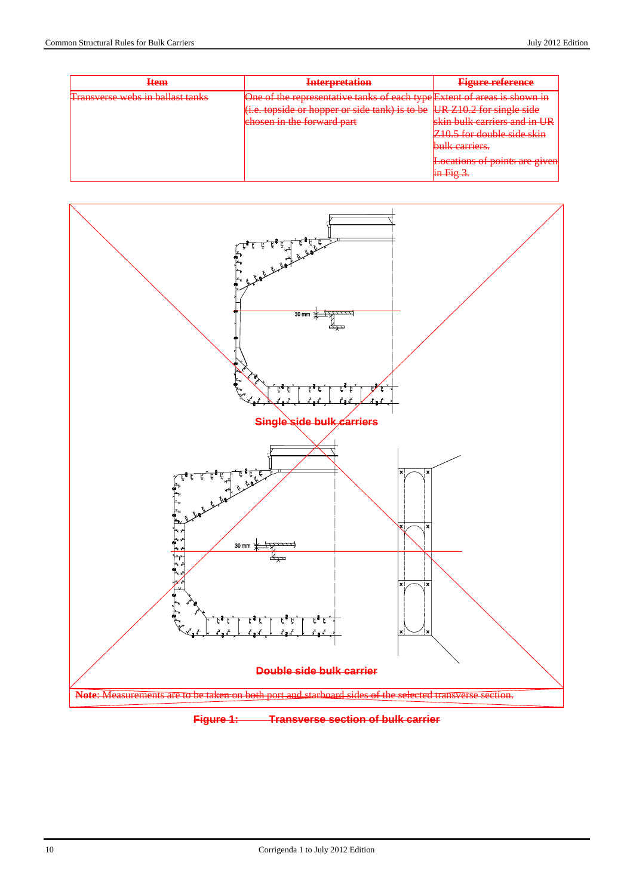| <b>Item</b>                             | <b>Interpretation</b>                                                                                                                                                             | <b>Figure reference</b>                                                                                                                                                                    |
|-----------------------------------------|-----------------------------------------------------------------------------------------------------------------------------------------------------------------------------------|--------------------------------------------------------------------------------------------------------------------------------------------------------------------------------------------|
| <b>Transverse webs in ballast tanks</b> | One of the representative tanks of each type Extent of areas is shown in<br>(i.e. topside or hopper or side tank) is to be UR Z10.2 for single side<br>chosen in the forward part | obin bulk carriers and in IID<br>Z <sub>10.5</sub> for double side skin<br>$\mathbf{h}$ ulk carriers<br><b>Uttil Valletter</b><br>Locations of points are given<br>$\frac{1}{2}$ in Fig 3. |



**Figure 1: Transverse section of bulk carrier**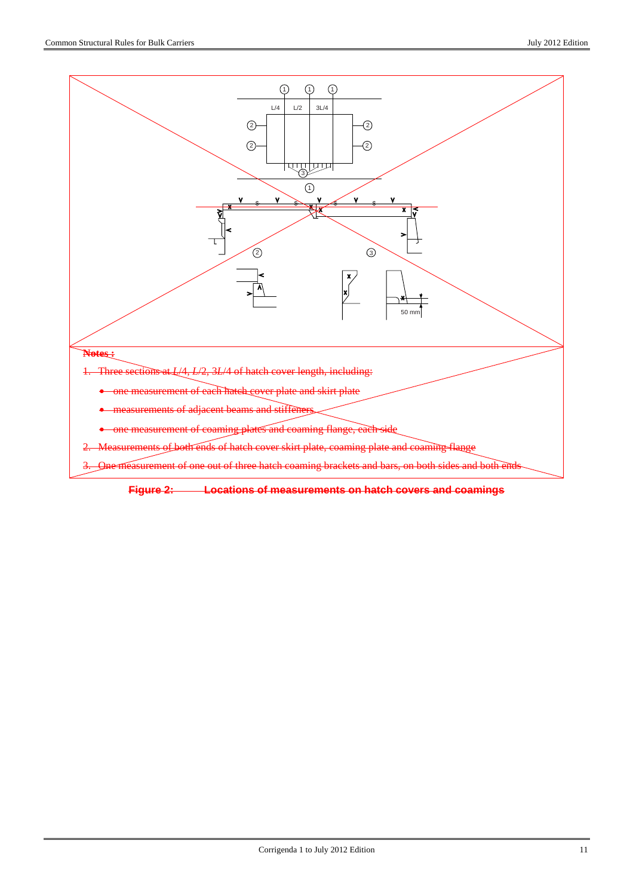

**Figure 2: Locations of measurements on hatch covers and coamings**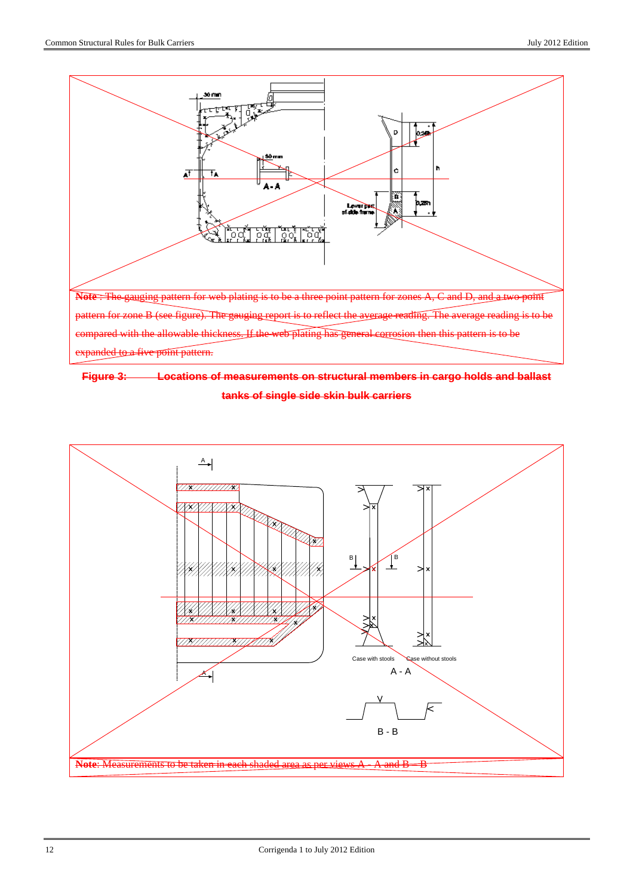



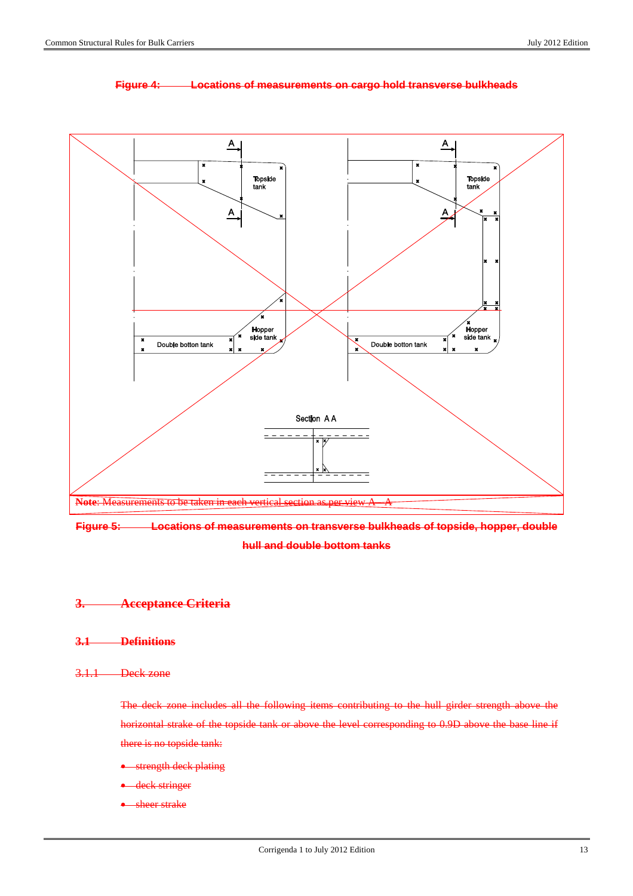

#### **Figure 4: Locations of measurements on cargo hold transverse bulkheads**



## **3. Acceptance Criteria**

**3.1 Definitions**

## 3.1.1 Deck zone

The deck zone includes all the following items contributing to the hull girder strength above the horizontal strake of the topside tank or above the level corresponding to 0.9D above the base line if there is no topside tank:

- *strength deck plating*
- deck stringer
- sheer strake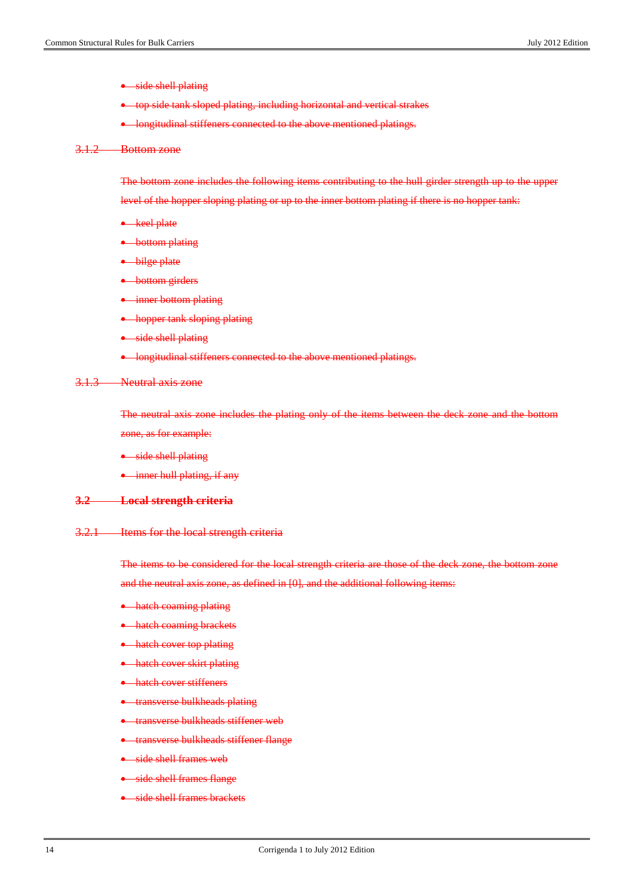- side shell plating
- top side tank sloped plating, including horizontal and vertical strakes
- longitudinal stiffeners connected to the above mentioned platings.

#### 3.1.2 Bottom zone

The bottom zone includes the following items contributing to the hull girder strength up to the upper

level of the hopper sloping plating or up to the inner bottom plating if there is no hopper tank:

- keel plate
- bottom plating
- bilge plate
- bottom girders
- inner bottom plating
- hopper tank sloping plating
- side shell plating
- longitudinal stiffeners connected to the above mentioned platings.

#### 3.1.3 Neutral axis zone

The neutral axis zone includes the plating only of the items between the deck zone and the bottom zone, as for example:

- side shell plating
- inner hull plating, if any

#### **3.2 Local strength criteria**

#### 3.2.1 Items for the local strength criteria

The items to be considered for the local strength criteria are those of the deck zone, the bottom zone and the neutral axis zone, as defined in [0], and the additional following items:

- hatch coaming plating
- hatch coaming brackets
- hatch cover top plating
- hatch cover skirt plating
- hatch cover stiffeners
- transverse bulkheads plating
- **•** transverse bulkheads stiffener web
- transverse bulkheads stiffener flange
- side shell frames web
- side shell frames flange
- side shell frames brackets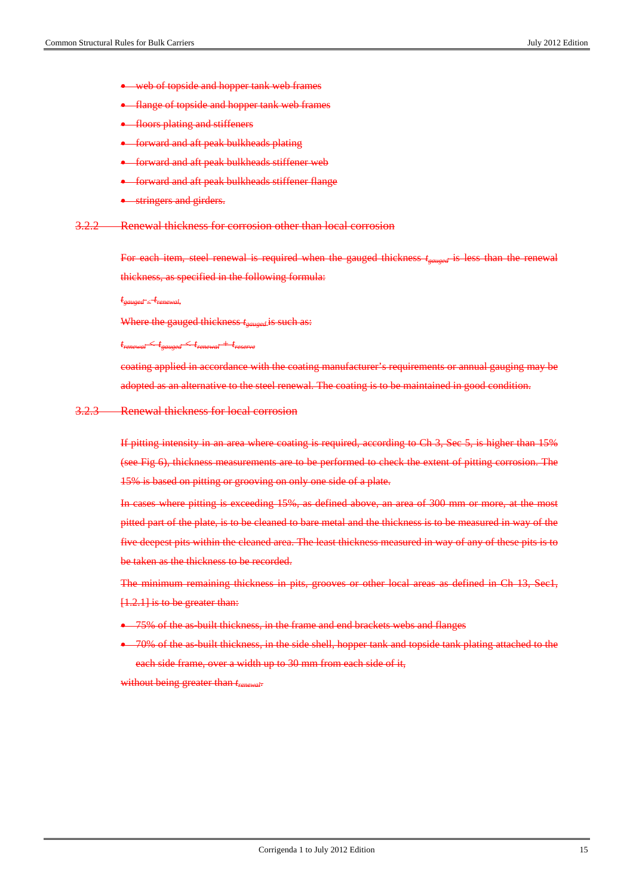- web of topside and hopper tank web frames
- flange of topside and hopper tank web frames
- floors plating and stiffeners
- forward and aft peak bulkheads plating
- forward and aft peak bulkheads stiffener web
- forward and aft peak bulkheads stiffener flange
- stringers and girders.
- 3.2.2 Renewal thickness for corrosion other than local corrosion

For each item, steel renewal is required when the gauged thickness  $t_{\text{current}}$  is less than the renewal thickness, as specified in the following formula:

*tgauged < trenewal,*

Where the gauged thickness  $t_{caused}$  is such as:

*trenewal < tgauged < trenewal + treserve*

coating applied in accordance with the coating manufacturer's requirements or annual gauging may be adopted as an alternative to the steel renewal. The coating is to be maintained in good condition.

#### 3.2.3 Renewal thickness for local corrosion

If pitting intensity in an area where coating is required, according to Ch 3, Sec 5, is higher than 15% (see Fig 6), thickness measurements are to be performed to check the extent of pitting corrosion. The 15% is based on pitting or grooving on only one side of a plate.

In cases where pitting is exceeding 15%, as defined above, an area of 300 mm or more, at the most pitted part of the plate, is to be cleaned to bare metal and the thickness is to be measured in way of the five deepest pits within the cleaned area. The least thickness measured in way of any of these pits is to be taken as the thickness to be recorded.

The minimum remaining thickness in pits, grooves or other local areas as defined in Ch 13, Sec1, [1.2.1] is to be greater than:

- 75% of the as-built thickness, in the frame and end brackets webs and flanges
- 70% of the as-built thickness, in the side shell, hopper tank and topside tank plating attached to the each side frame, over a width up to 30 mm from each side of it,

without being greater than  $t_{renewal}$ .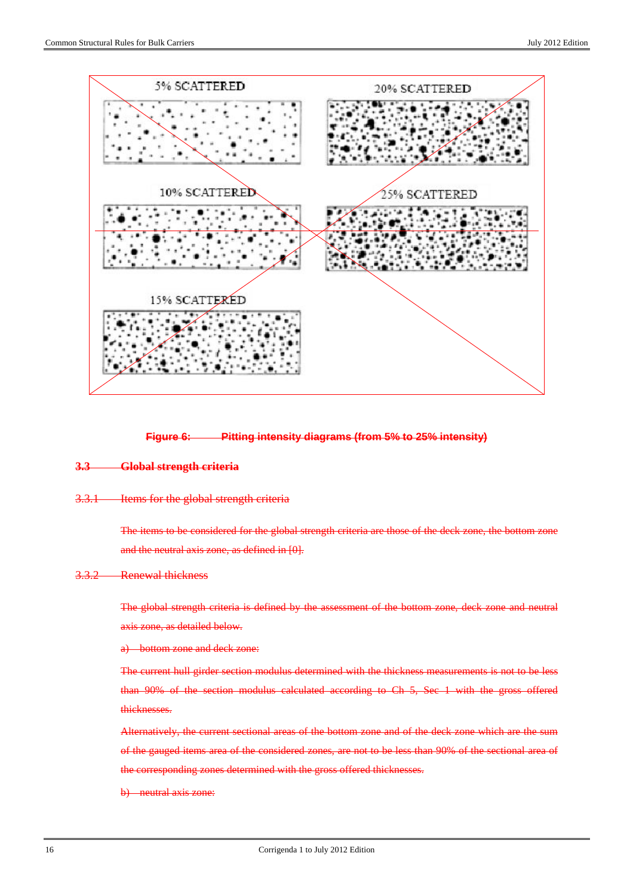

#### **Figure 6: Pitting intensity diagrams (from 5% to 25% intensity)**

#### **3.3 Global strength criteria**

#### 3.3.1 Items for the global strength criteria

The items to be considered for the global strength criteria are those of the deck zone, the bottom zone and the neutral axis zone, as defined in [0].

#### 3.3.2 Renewal thickness

The global strength criteria is defined by the assessment of the bottom zone, deck zone and neutral axis zone, as detailed below.

#### a) bottom zone and deck zone:

The current hull girder section modulus determined with the thickness measurements is not to be less than 90% of the section modulus calculated according to Ch 5, Sec 1 with the gross offered thicknesses.

Alternatively, the current sectional areas of the bottom zone and of the deck zone which are the sum of the gauged items area of the considered zones, are not to be less than 90% of the sectional area of the corresponding zones determined with the gross offered thicknesses.

b) neutral axis zone: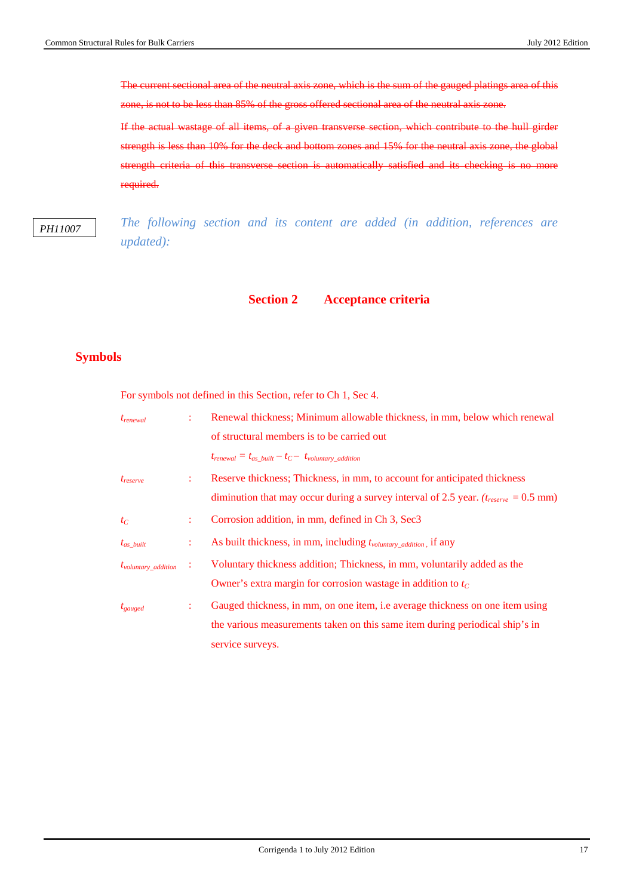The current sectional area of the neutral axis zone, which is the sum of the gauged platings area of this zone, is not to be less than 85% of the gross offered sectional area of the neutral axis zone.

If the actual wastage of all items, of a given transverse section, which contribute to the hull girder strength is less than 10% for the deck and bottom zones and 15% for the neutral axis zone, the global strength criteria of this transverse section is automatically satisfied and its checking is no more required.

*PH11007*

*The following section and its content are added (in addition, references are updated):* 

## **Section 2 Acceptance criteria**

## **Symbols**

For symbols not defined in this Section, refer to Ch 1, Sec 4.

| $t_{renewal}$                   |    | Renewal thickness; Minimum allowable thickness, in mm, below which renewal                       |
|---------------------------------|----|--------------------------------------------------------------------------------------------------|
|                                 |    | of structural members is to be carried out                                                       |
|                                 |    | $t_{renewal} = t_{as\_built} - t_C - t_{volumtary\_addition}$                                    |
| $t_{reserve}$                   | ÷  | Reserve thickness; Thickness, in mm, to account for anticipated thickness                        |
|                                 |    | diminution that may occur during a survey interval of 2.5 year. $(t_{reserve} = 0.5 \text{ mm})$ |
| $t_C$                           | ÷. | Corrosion addition, in mm, defined in Ch 3, Sec3                                                 |
| $t_{as\ built}$                 | ÷  | As built thickness, in mm, including t <sub>voluntary</sub> <sub>addition</sub> , if any         |
| $t_{\text{volumtary}}$ addition | ÷  | Voluntary thickness addition; Thickness, in mm, voluntarily added as the                         |
|                                 |    | Owner's extra margin for corrosion wastage in addition to $t_c$                                  |
| $t_{gauged}$                    | ÷. | Gauged thickness, in mm, on one item, i.e average thickness on one item using                    |
|                                 |    | the various measurements taken on this same item during periodical ship's in                     |
|                                 |    | service surveys.                                                                                 |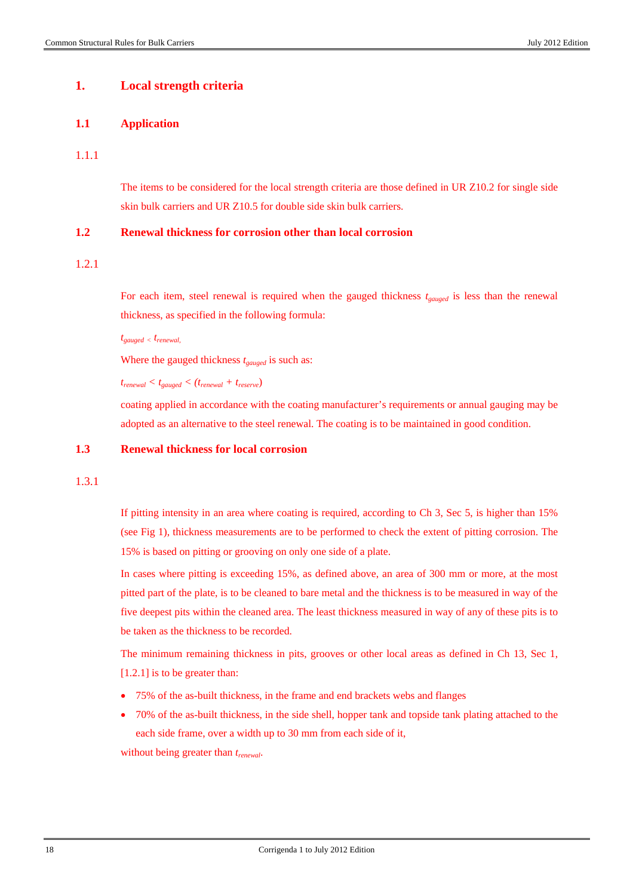## **1. Local strength criteria**

#### **1.1 Application**

#### 1.1.1

The items to be considered for the local strength criteria are those defined in UR Z10.2 for single side skin bulk carriers and UR Z10.5 for double side skin bulk carriers.

## **1.2 Renewal thickness for corrosion other than local corrosion**

## 1.2.1

For each item, steel renewal is required when the gauged thickness  $t_{gauge}$  is less than the renewal thickness, as specified in the following formula:

*tgauged < trenewal,* 

Where the gauged thickness  $t_{educed}$  is such as:

*trenewal < tgauged < (trenewal + treserve*)

coating applied in accordance with the coating manufacturer's requirements or annual gauging may be adopted as an alternative to the steel renewal. The coating is to be maintained in good condition.

### **1.3 Renewal thickness for local corrosion**

1.3.1

If pitting intensity in an area where coating is required, according to Ch 3, Sec 5, is higher than 15% (see Fig 1), thickness measurements are to be performed to check the extent of pitting corrosion. The 15% is based on pitting or grooving on only one side of a plate.

In cases where pitting is exceeding 15%, as defined above, an area of 300 mm or more, at the most pitted part of the plate, is to be cleaned to bare metal and the thickness is to be measured in way of the five deepest pits within the cleaned area. The least thickness measured in way of any of these pits is to be taken as the thickness to be recorded.

The minimum remaining thickness in pits, grooves or other local areas as defined in Ch 13, Sec 1, [1.2.1] is to be greater than:

- 75% of the as-built thickness, in the frame and end brackets webs and flanges
- 70% of the as-built thickness, in the side shell, hopper tank and topside tank plating attached to the each side frame, over a width up to 30 mm from each side of it,

without being greater than *trenewal*.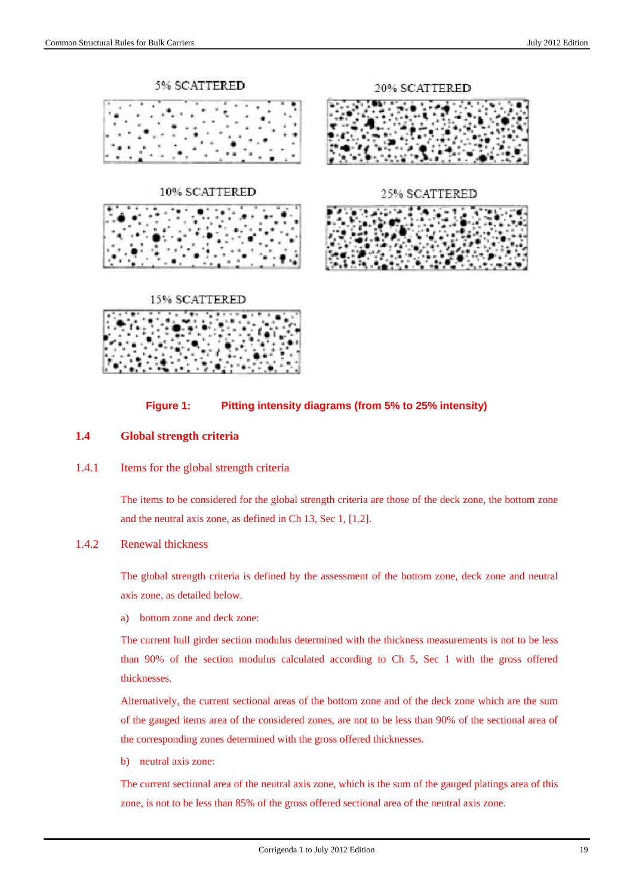



## **1.4 Global strength criteria**

1.4.1 Items for the global strength criteria

The items to be considered for the global strength criteria are those of the deck zone, the bottom zone and the neutral axis zone, as defined in Ch 13, Sec 1, [1.2].

### 1.4.2 Renewal thickness

The global strength criteria is defined by the assessment of the bottom zone, deck zone and neutral axis zone, as detailed below.

a) bottom zone and deck zone:

The current hull girder section modulus determined with the thickness measurements is not to be less than 90% of the section modulus calculated according to Ch 5, Sec 1 with the gross offered thicknesses.

Alternatively, the current sectional areas of the bottom zone and of the deck zone which are the sum of the gauged items area of the considered zones, are not to be less than 90% of the sectional area of the corresponding zones determined with the gross offered thicknesses.

b) neutral axis zone:

The current sectional area of the neutral axis zone, which is the sum of the gauged platings area of this zone, is not to be less than 85% of the gross offered sectional area of the neutral axis zone.